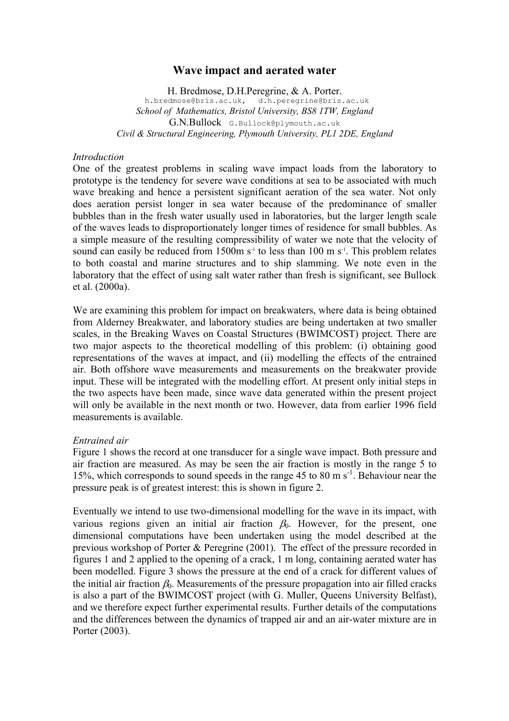# **Wave impact and aerated water**

H. Bredmose, D.H.Peregrine, & A. Porter. h.bredmose@bris.ac.uk, d.h.peregrine@bris.ac.uk *School of Mathematics, Bristol University, BS8 1TW, England*  G.N.Bullock G.Bullock@plymouth.ac.uk *Civil & Structural Engineering, Plymouth University, PL1 2DE, England*

#### *Introduction*

One of the greatest problems in scaling wave impact loads from the laboratory to prototype is the tendency for severe wave conditions at sea to be associated with much wave breaking and hence a persistent significant aeration of the sea water. Not only does aeration persist longer in sea water because of the predominance of smaller bubbles than in the fresh water usually used in laboratories, but the larger length scale of the waves leads to disproportionately longer times of residence for small bubbles. As a simple measure of the resulting compressibility of water we note that the velocity of sound can easily be reduced from  $1500m s<sup>-1</sup>$  to less than  $100 m s<sup>-1</sup>$ . This problem relates to both coastal and marine structures and to ship slamming. We note even in the laboratory that the effect of using salt water rather than fresh is significant, see Bullock et al. (2000a).

We are examining this problem for impact on breakwaters, where data is being obtained from Alderney Breakwater, and laboratory studies are being undertaken at two smaller scales, in the Breaking Waves on Coastal Structures (BWIMCOST) project. There are two major aspects to the theoretical modelling of this problem: (i) obtaining good representations of the waves at impact, and (ii) modelling the effects of the entrained air. Both offshore wave measurements and measurements on the breakwater provide input. These will be integrated with the modelling effort. At present only initial steps in the two aspects have been made, since wave data generated within the present project will only be available in the next month or two. However, data from earlier 1996 field measurements is available.

#### *Entrained air*

Figure 1 shows the record at one transducer for a single wave impact. Both pressure and air fraction are measured. As may be seen the air fraction is mostly in the range 5 to 15%, which corresponds to sound speeds in the range 45 to 80 m s<sup>-1</sup>. Behaviour near the pressure peak is of greatest interest: this is shown in figure 2.

Eventually we intend to use two-dimensional modelling for the wave in its impact, with various regions given an initial air fraction  $\beta_0$ . However, for the present, one dimensional computations have been undertaken using the model described at the previous workshop of Porter & Peregrine (2001). The effect of the pressure recorded in figures 1 and 2 applied to the opening of a crack, 1 m long, containing aerated water has been modelled. Figure 3 shows the pressure at the end of a crack for different values of the initial air fraction  $\beta_0$ . Measurements of the pressure propagation into air filled cracks is also a part of the BWIMCOST project (with G. Muller, Queens University Belfast), and we therefore expect further experimental results. Further details of the computations and the differences between the dynamics of trapped air and an air-water mixture are in Porter (2003).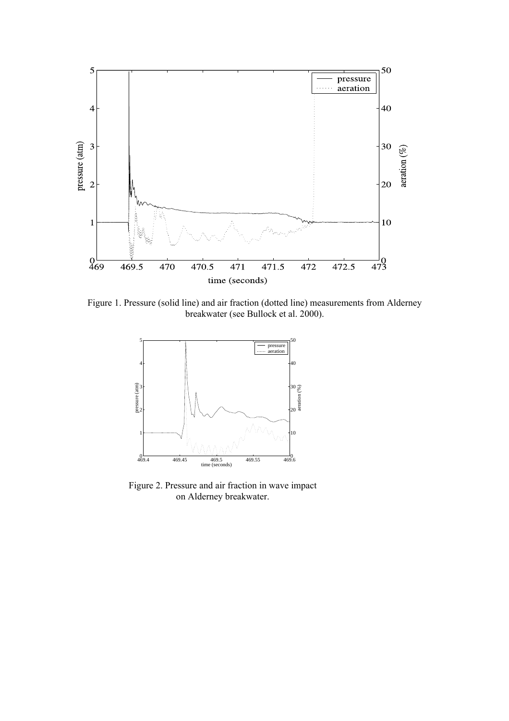

Figure 1. Pressure (solid line) and air fraction (dotted line) measurements from Alderney breakwater (see Bullock et al. 2000).



Figure 2. Pressure and air fraction in wave impact on Alderney breakwater.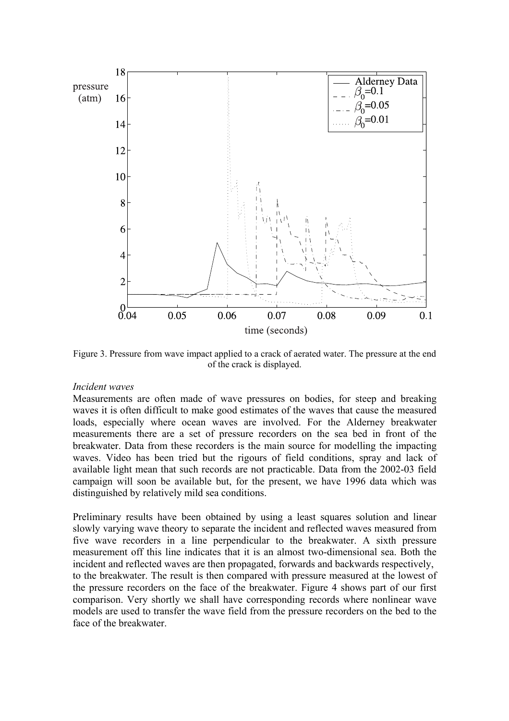

Figure 3. Pressure from wave impact applied to a crack of aerated water. The pressure at the end of the crack is displayed.

# *Incident waves*

Measurements are often made of wave pressures on bodies, for steep and breaking waves it is often difficult to make good estimates of the waves that cause the measured loads, especially where ocean waves are involved. For the Alderney breakwater measurements there are a set of pressure recorders on the sea bed in front of the breakwater. Data from these recorders is the main source for modelling the impacting waves. Video has been tried but the rigours of field conditions, spray and lack of available light mean that such records are not practicable. Data from the 2002-03 field campaign will soon be available but, for the present, we have 1996 data which was distinguished by relatively mild sea conditions.

Preliminary results have been obtained by using a least squares solution and linear slowly varying wave theory to separate the incident and reflected waves measured from five wave recorders in a line perpendicular to the breakwater. A sixth pressure measurement off this line indicates that it is an almost two-dimensional sea. Both the incident and reflected waves are then propagated, forwards and backwards respectively, to the breakwater. The result is then compared with pressure measured at the lowest of the pressure recorders on the face of the breakwater. Figure 4 shows part of our first comparison. Very shortly we shall have corresponding records where nonlinear wave models are used to transfer the wave field from the pressure recorders on the bed to the face of the breakwater.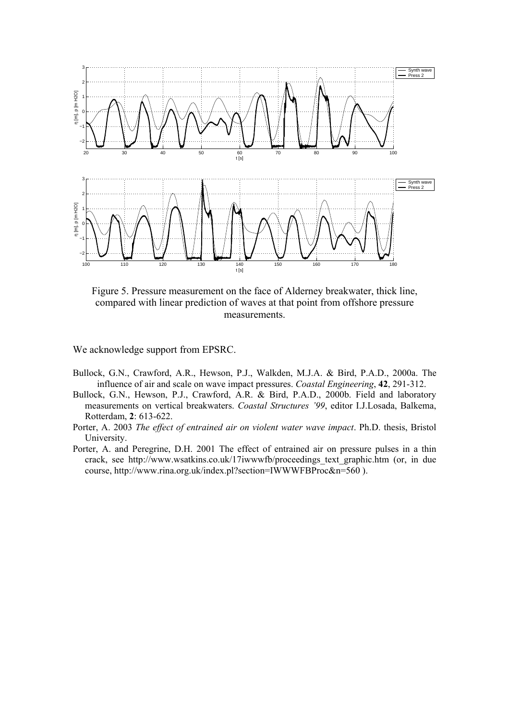

Figure 5. Pressure measurement on the face of Alderney breakwater, thick line, compared with linear prediction of waves at that point from offshore pressure measurements.

We acknowledge support from EPSRC.

- Bullock, G.N., Crawford, A.R., Hewson, P.J., Walkden, M.J.A. & Bird, P.A.D., 2000a. The influence of air and scale on wave impact pressures. *Coastal Engineering*, **42**, 291-312.
- Bullock, G.N., Hewson, P.J., Crawford, A.R. & Bird, P.A.D., 2000b. Field and laboratory measurements on vertical breakwaters. *Coastal Structures '99*, editor I.J.Losada, Balkema, Rotterdam, **2**: 613-622.
- Porter, A. 2003 *The effect of entrained air on violent water wave impact*. Ph.D. thesis, Bristol University.
- Porter, A. and Peregrine, D.H. 2001 The effect of entrained air on pressure pulses in a thin crack, see http://www.wsatkins.co.uk/17iwwwfb/proceedings\_text\_graphic.htm (or, in due course, http://www.rina.org.uk/index.pl?section=IWWWFBProc&n=560 ).